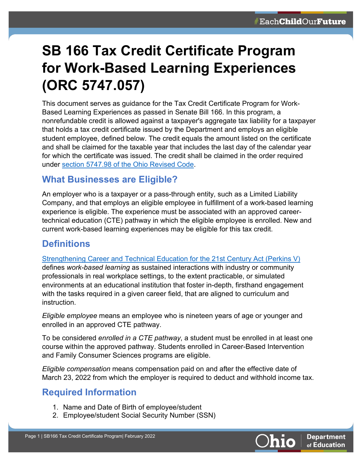# **SB 166 Tax Credit Certificate Program for Work-Based Learning Experiences (ORC 5747.057)**

This document serves as guidance for the Tax Credit Certificate Program for Work-Based Learning Experiences as passed in Senate Bill 166. In this program, a nonrefundable credit is allowed against a taxpayer's aggregate tax liability for a taxpayer that holds a tax credit certificate issued by the Department and employs an eligible student employee, defined below. The credit equals the amount listed on the certificate and shall be claimed for the taxable year that includes the last day of the calendar year for which the certificate was issued. The credit shall be claimed in the order required under [section 5747.98 of the Ohio Revised Code.](https://codes.ohio.gov/ohio-revised-code/section-5747.98#:%7E:text=Any%20excess%20amount%20of%20a,once%20for%20a%20taxable%20year.)

#### **What Businesses are Eligible?**

An employer who is a taxpayer or a pass-through entity, such as a Limited Liability Company, and that employs an eligible employee in fulfillment of a work-based learning experience is eligible. The experience must be associated with an approved careertechnical education (CTE) pathway in which the eligible employee is enrolled. New and current work-based learning experiences may be eligible for this tax credit.

## **Definitions**

[Strengthening Career and Technical Education for the 21st Century Act \(Perkins V\)](https://www.govinfo.gov/content/pkg/COMPS-3096/pdf/COMPS-3096.pdf)

defines *work-based learning* as sustained interactions with industry or community professionals in real workplace settings, to the extent practicable, or simulated environments at an educational institution that foster in-depth, firsthand engagement with the tasks required in a given career field, that are aligned to curriculum and instruction.

*Eligible employee* means an employee who is nineteen years of age or younger and enrolled in an approved CTE pathway.

To be considered *enrolled in a CTE pathway*, a student must be enrolled in at least one course within the approved pathway. Students enrolled in Career-Based Intervention and Family Consumer Sciences programs are eligible.

*Eligible compensation* means compensation paid on and after the effective date of March 23, 2022 from which the employer is required to deduct and withhold income tax.

# **Required Information**

- 1. Name and Date of Birth of employee/student
- 2. Employee/student Social Security Number (SSN)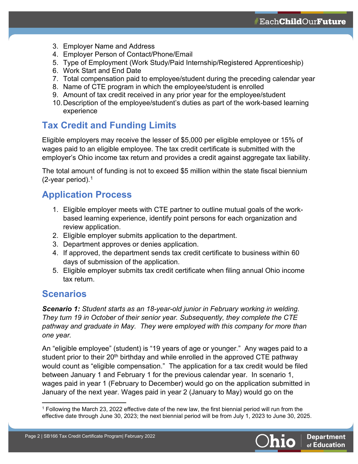- 3. Employer Name and Address
- 4. Employer Person of Contact/Phone/Email
- 5. Type of Employment (Work Study/Paid Internship/Registered Apprenticeship)
- 6. Work Start and End Date
- 7. Total compensation paid to employee/student during the preceding calendar year
- 8. Name of CTE program in which the employee/student is enrolled
- 9. Amount of tax credit received in any prior year for the employee/student
- 10.Description of the employee/student's duties as part of the work-based learning experience

## **Tax Credit and Funding Limits**

Eligible employers may receive the lesser of \$5,000 per eligible employee or 15% of wages paid to an eligible employee. The tax credit certificate is submitted with the employer's Ohio income tax return and provides a credit against aggregate tax liability.

The total amount of funding is not to exceed \$5 million within the state fiscal biennium (2-year period). [1](#page-1-0)

#### **Application Process**

- 1. Eligible employer meets with CTE partner to outline mutual goals of the workbased learning experience, identify point persons for each organization and review application.
- 2. Eligible employer submits application to the department.
- 3. Department approves or denies application.
- 4. If approved, the department sends tax credit certificate to business within 60 days of submission of the application.
- 5. Eligible employer submits tax credit certificate when filing annual Ohio income tax return.

#### **Scenarios**

*Scenario 1: Student starts as an 18-year-old junior in February working in welding. They turn 19 in October of their senior year. Subsequently, they complete the CTE pathway and graduate in May. They were employed with this company for more than one year.*

An "eligible employee" (student) is "19 years of age or younger." Any wages paid to a student prior to their 20<sup>th</sup> birthday and while enrolled in the approved CTE pathway would count as "eligible compensation." The application for a tax credit would be filed between January 1 and February 1 for the previous calendar year. In scenario 1, wages paid in year 1 (February to December) would go on the application submitted in January of the next year. Wages paid in year 2 (January to May) would go on the

<span id="page-1-0"></span><sup>1</sup> Following the March 23, 2022 effective date of the new law, the first biennial period will run from the effective date through June 30, 2023; the next biennial period will be from July 1, 2023 to June 30, 2025.